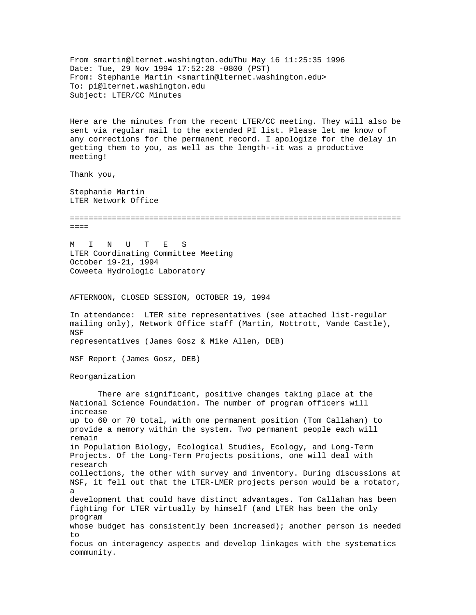From smartin@lternet.washington.eduThu May 16 11:25:35 1996 Date: Tue, 29 Nov 1994 17:52:28 -0800 (PST) From: Stephanie Martin <smartin@lternet.washington.edu> To: pi@lternet.washington.edu Subject: LTER/CC Minutes Here are the minutes from the recent LTER/CC meeting. They will also be sent via regular mail to the extended PI list. Please let me know of any corrections for the permanent record. I apologize for the delay in getting them to you, as well as the length--it was a productive meeting! Thank you, Stephanie Martin LTER Network Office =======================================================================  $=$  $=$  $=$  $=$ M I N U T E S LTER Coordinating Committee Meeting October 19-21, 1994 Coweeta Hydrologic Laboratory AFTERNOON, CLOSED SESSION, OCTOBER 19, 1994 In attendance: LTER site representatives (see attached list-regular mailing only), Network Office staff (Martin, Nottrott, Vande Castle), NSF representatives (James Gosz & Mike Allen, DEB) NSF Report (James Gosz, DEB) Reorganization There are significant, positive changes taking place at the National Science Foundation. The number of program officers will increase up to 60 or 70 total, with one permanent position (Tom Callahan) to provide a memory within the system. Two permanent people each will remain in Population Biology, Ecological Studies, Ecology, and Long-Term Projects. Of the Long-Term Projects positions, one will deal with research collections, the other with survey and inventory. During discussions at NSF, it fell out that the LTER-LMER projects person would be a rotator, a development that could have distinct advantages. Tom Callahan has been fighting for LTER virtually by himself (and LTER has been the only program whose budget has consistently been increased); another person is needed to focus on interagency aspects and develop linkages with the systematics community.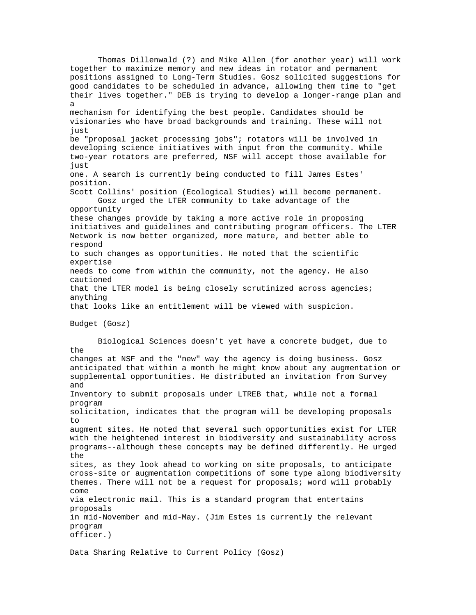Thomas Dillenwald (?) and Mike Allen (for another year) will work together to maximize memory and new ideas in rotator and permanent positions assigned to Long-Term Studies. Gosz solicited suggestions for good candidates to be scheduled in advance, allowing them time to "get their lives together." DEB is trying to develop a longer-range plan and a mechanism for identifying the best people. Candidates should be visionaries who have broad backgrounds and training. These will not just be "proposal jacket processing jobs"; rotators will be involved in developing science initiatives with input from the community. While two-year rotators are preferred, NSF will accept those available for just one. A search is currently being conducted to fill James Estes' position. Scott Collins' position (Ecological Studies) will become permanent. Gosz urged the LTER community to take advantage of the opportunity these changes provide by taking a more active role in proposing initiatives and guidelines and contributing program officers. The LTER Network is now better organized, more mature, and better able to respond to such changes as opportunities. He noted that the scientific expertise needs to come from within the community, not the agency. He also cautioned that the LTER model is being closely scrutinized across agencies; anything that looks like an entitlement will be viewed with suspicion. Budget (Gosz) Biological Sciences doesn't yet have a concrete budget, due to the changes at NSF and the "new" way the agency is doing business. Gosz anticipated that within a month he might know about any augmentation or supplemental opportunities. He distributed an invitation from Survey and Inventory to submit proposals under LTREB that, while not a formal program solicitation, indicates that the program will be developing proposals to augment sites. He noted that several such opportunities exist for LTER with the heightened interest in biodiversity and sustainability across programs--although these concepts may be defined differently. He urged the sites, as they look ahead to working on site proposals, to anticipate cross-site or augmentation competitions of some type along biodiversity themes. There will not be a request for proposals; word will probably come via electronic mail. This is a standard program that entertains proposals in mid-November and mid-May. (Jim Estes is currently the relevant program officer.) Data Sharing Relative to Current Policy (Gosz)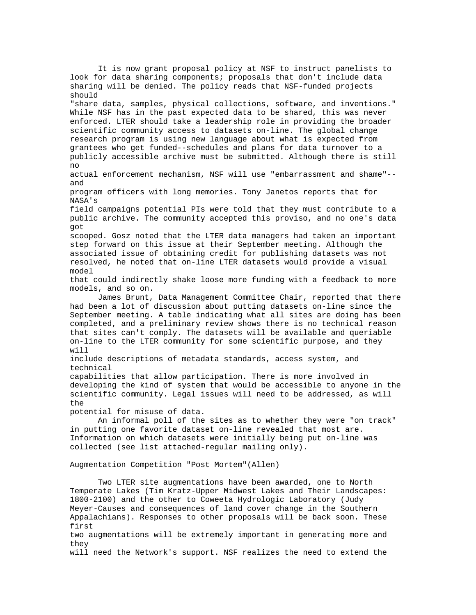It is now grant proposal policy at NSF to instruct panelists to look for data sharing components; proposals that don't include data sharing will be denied. The policy reads that NSF-funded projects should "share data, samples, physical collections, software, and inventions." While NSF has in the past expected data to be shared, this was never enforced. LTER should take a leadership role in providing the broader scientific community access to datasets on-line. The global change research program is using new language about what is expected from grantees who get funded--schedules and plans for data turnover to a publicly accessible archive must be submitted. Although there is still no actual enforcement mechanism, NSF will use "embarrassment and shame"- and program officers with long memories. Tony Janetos reports that for NASA's field campaigns potential PIs were told that they must contribute to a public archive. The community accepted this proviso, and no one's data got scooped. Gosz noted that the LTER data managers had taken an important step forward on this issue at their September meeting. Although the associated issue of obtaining credit for publishing datasets was not resolved, he noted that on-line LTER datasets would provide a visual model that could indirectly shake loose more funding with a feedback to more models, and so on. James Brunt, Data Management Committee Chair, reported that there had been a lot of discussion about putting datasets on-line since the September meeting. A table indicating what all sites are doing has been completed, and a preliminary review shows there is no technical reason that sites can't comply. The datasets will be available and queriable on-line to the LTER community for some scientific purpose, and they will include descriptions of metadata standards, access system, and technical capabilities that allow participation. There is more involved in developing the kind of system that would be accessible to anyone in the scientific community. Legal issues will need to be addressed, as will the potential for misuse of data. An informal poll of the sites as to whether they were "on track" in putting one favorite dataset on-line revealed that most are. Information on which datasets were initially being put on-line was collected (see list attached-regular mailing only). Augmentation Competition "Post Mortem"(Allen) Two LTER site augmentations have been awarded, one to North Temperate Lakes (Tim Kratz-Upper Midwest Lakes and Their Landscapes: 1800-2100) and the other to Coweeta Hydrologic Laboratory (Judy Meyer-Causes and consequences of land cover change in the Southern Appalachians). Responses to other proposals will be back soon. These first two augmentations will be extremely important in generating more and they will need the Network's support. NSF realizes the need to extend the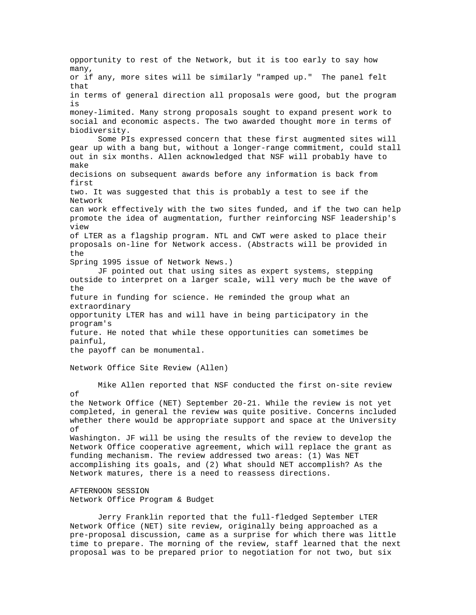opportunity to rest of the Network, but it is too early to say how many, or if any, more sites will be similarly "ramped up." The panel felt that in terms of general direction all proposals were good, but the program is money-limited. Many strong proposals sought to expand present work to social and economic aspects. The two awarded thought more in terms of biodiversity. Some PIs expressed concern that these first augmented sites will gear up with a bang but, without a longer-range commitment, could stall out in six months. Allen acknowledged that NSF will probably have to make decisions on subsequent awards before any information is back from first two. It was suggested that this is probably a test to see if the Network can work effectively with the two sites funded, and if the two can help promote the idea of augmentation, further reinforcing NSF leadership's view of LTER as a flagship program. NTL and CWT were asked to place their proposals on-line for Network access. (Abstracts will be provided in the Spring 1995 issue of Network News.) JF pointed out that using sites as expert systems, stepping outside to interpret on a larger scale, will very much be the wave of the future in funding for science. He reminded the group what an extraordinary opportunity LTER has and will have in being participatory in the program's future. He noted that while these opportunities can sometimes be painful, the payoff can be monumental. Network Office Site Review (Allen) Mike Allen reported that NSF conducted the first on-site review of the Network Office (NET) September 20-21. While the review is not yet completed, in general the review was quite positive. Concerns included whether there would be appropriate support and space at the University of Washington. JF will be using the results of the review to develop the Network Office cooperative agreement, which will replace the grant as funding mechanism. The review addressed two areas: (1) Was NET accomplishing its goals, and (2) What should NET accomplish? As the Network matures, there is a need to reassess directions. AFTERNOON SESSION Network Office Program & Budget

Jerry Franklin reported that the full-fledged September LTER Network Office (NET) site review, originally being approached as a pre-proposal discussion, came as a surprise for which there was little time to prepare. The morning of the review, staff learned that the next proposal was to be prepared prior to negotiation for not two, but six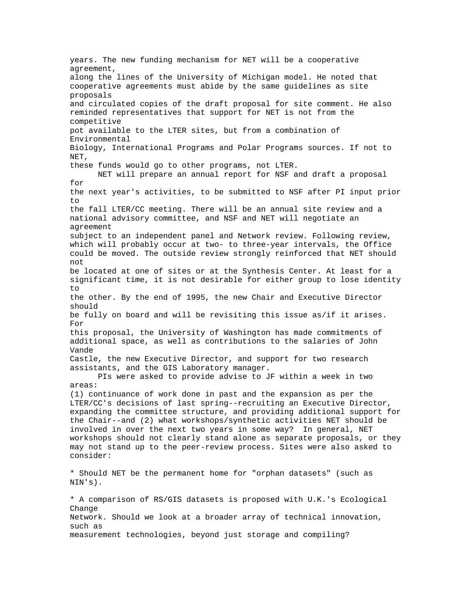years. The new funding mechanism for NET will be a cooperative agreement, along the lines of the University of Michigan model. He noted that cooperative agreements must abide by the same guidelines as site proposals and circulated copies of the draft proposal for site comment. He also reminded representatives that support for NET is not from the competitive pot available to the LTER sites, but from a combination of Environmental Biology, International Programs and Polar Programs sources. If not to NET, these funds would go to other programs, not LTER. NET will prepare an annual report for NSF and draft a proposal for the next year's activities, to be submitted to NSF after PI input prior to the fall LTER/CC meeting. There will be an annual site review and a national advisory committee, and NSF and NET will negotiate an agreement subject to an independent panel and Network review. Following review, which will probably occur at two- to three-year intervals, the Office could be moved. The outside review strongly reinforced that NET should not be located at one of sites or at the Synthesis Center. At least for a significant time, it is not desirable for either group to lose identity to the other. By the end of 1995, the new Chair and Executive Director should be fully on board and will be revisiting this issue as/if it arises. For this proposal, the University of Washington has made commitments of additional space, as well as contributions to the salaries of John Vande Castle, the new Executive Director, and support for two research assistants, and the GIS Laboratory manager. PIs were asked to provide advise to JF within a week in two areas: (1) continuance of work done in past and the expansion as per the LTER/CC's decisions of last spring--recruiting an Executive Director, expanding the committee structure, and providing additional support for the Chair--and (2) what workshops/synthetic activities NET should be involved in over the next two years in some way? In general, NET workshops should not clearly stand alone as separate proposals, or they may not stand up to the peer-review process. Sites were also asked to consider: \* Should NET be the permanent home for "orphan datasets" (such as NIN's). \* A comparison of RS/GIS datasets is proposed with U.K.'s Ecological Change Network. Should we look at a broader array of technical innovation, such as measurement technologies, beyond just storage and compiling?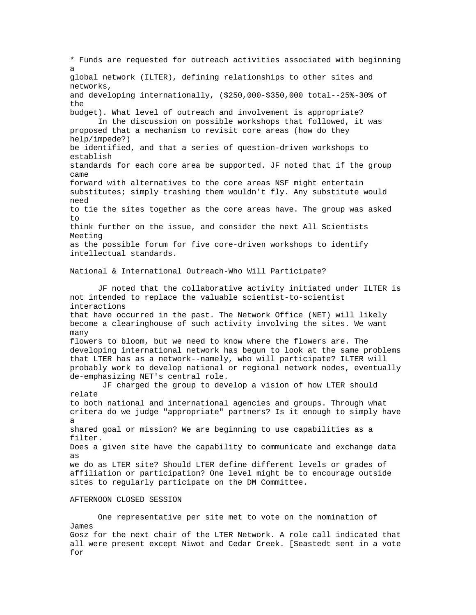\* Funds are requested for outreach activities associated with beginning a global network (ILTER), defining relationships to other sites and networks, and developing internationally, (\$250,000-\$350,000 total--25%-30% of the budget). What level of outreach and involvement is appropriate? In the discussion on possible workshops that followed, it was proposed that a mechanism to revisit core areas (how do they help/impede?) be identified, and that a series of question-driven workshops to establish standards for each core area be supported. JF noted that if the group came forward with alternatives to the core areas NSF might entertain substitutes; simply trashing them wouldn't fly. Any substitute would need to tie the sites together as the core areas have. The group was asked to think further on the issue, and consider the next All Scientists Meeting as the possible forum for five core-driven workshops to identify intellectual standards. National & International Outreach-Who Will Participate? JF noted that the collaborative activity initiated under ILTER is not intended to replace the valuable scientist-to-scientist interactions that have occurred in the past. The Network Office (NET) will likely become a clearinghouse of such activity involving the sites. We want many flowers to bloom, but we need to know where the flowers are. The developing international network has begun to look at the same problems that LTER has as a network--namely, who will participate? ILTER will probably work to develop national or regional network nodes, eventually de-emphasizing NET's central role. JF charged the group to develop a vision of how LTER should relate to both national and international agencies and groups. Through what critera do we judge "appropriate" partners? Is it enough to simply have a shared goal or mission? We are beginning to use capabilities as a filter. Does a given site have the capability to communicate and exchange data as we do as LTER site? Should LTER define different levels or grades of affiliation or participation? One level might be to encourage outside sites to regularly participate on the DM Committee. AFTERNOON CLOSED SESSION

One representative per site met to vote on the nomination of James Gosz for the next chair of the LTER Network. A role call indicated that all were present except Niwot and Cedar Creek. [Seastedt sent in a vote for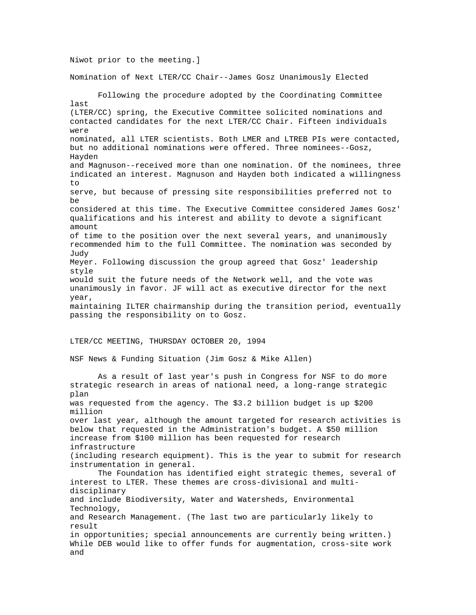Niwot prior to the meeting.] Nomination of Next LTER/CC Chair--James Gosz Unanimously Elected Following the procedure adopted by the Coordinating Committee last (LTER/CC) spring, the Executive Committee solicited nominations and contacted candidates for the next LTER/CC Chair. Fifteen individuals were nominated, all LTER scientists. Both LMER and LTREB PIs were contacted, but no additional nominations were offered. Three nominees--Gosz, Hayden and Magnuson--received more than one nomination. Of the nominees, three indicated an interest. Magnuson and Hayden both indicated a willingness to serve, but because of pressing site responsibilities preferred not to be considered at this time. The Executive Committee considered James Gosz' qualifications and his interest and ability to devote a significant amount of time to the position over the next several years, and unanimously recommended him to the full Committee. The nomination was seconded by Judy Meyer. Following discussion the group agreed that Gosz' leadership style would suit the future needs of the Network well, and the vote was unanimously in favor. JF will act as executive director for the next year, maintaining ILTER chairmanship during the transition period, eventually passing the responsibility on to Gosz. LTER/CC MEETING, THURSDAY OCTOBER 20, 1994 NSF News & Funding Situation (Jim Gosz & Mike Allen) As a result of last year's push in Congress for NSF to do more strategic research in areas of national need, a long-range strategic plan was requested from the agency. The \$3.2 billion budget is up \$200 million over last year, although the amount targeted for research activities is below that requested in the Administration's budget. A \$50 million increase from \$100 million has been requested for research infrastructure (including research equipment). This is the year to submit for research instrumentation in general. The Foundation has identified eight strategic themes, several of interest to LTER. These themes are cross-divisional and multidisciplinary and include Biodiversity, Water and Watersheds, Environmental Technology, and Research Management. (The last two are particularly likely to result in opportunities; special announcements are currently being written.) While DEB would like to offer funds for augmentation, cross-site work and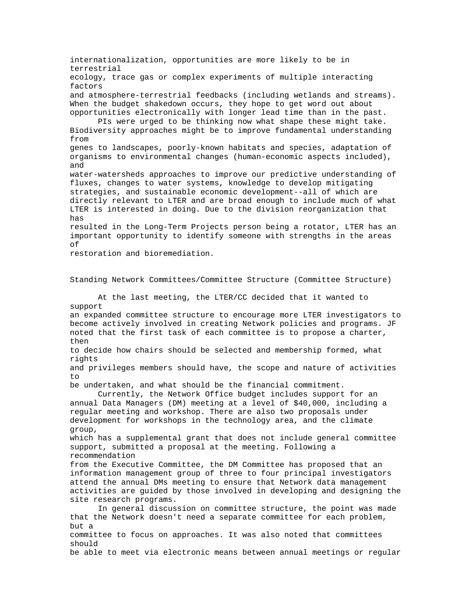internationalization, opportunities are more likely to be in terrestrial ecology, trace gas or complex experiments of multiple interacting factors and atmosphere-terrestrial feedbacks (including wetlands and streams). When the budget shakedown occurs, they hope to get word out about opportunities electronically with longer lead time than in the past. PIs were urged to be thinking now what shape these might take. Biodiversity approaches might be to improve fundamental understanding from genes to landscapes, poorly-known habitats and species, adaptation of organisms to environmental changes (human-economic aspects included), and water-watersheds approaches to improve our predictive understanding of fluxes, changes to water systems, knowledge to develop mitigating strategies, and sustainable economic development--all of which are directly relevant to LTER and are broad enough to include much of what LTER is interested in doing. Due to the division reorganization that has resulted in the Long-Term Projects person being a rotator, LTER has an important opportunity to identify someone with strengths in the areas of restoration and bioremediation. Standing Network Committees/Committee Structure (Committee Structure) At the last meeting, the LTER/CC decided that it wanted to support an expanded committee structure to encourage more LTER investigators to become actively involved in creating Network policies and programs. JF noted that the first task of each committee is to propose a charter, then to decide how chairs should be selected and membership formed, what rights and privileges members should have, the scope and nature of activities to be undertaken, and what should be the financial commitment. Currently, the Network Office budget includes support for an annual Data Managers (DM) meeting at a level of \$40,000, including a regular meeting and workshop. There are also two proposals under development for workshops in the technology area, and the climate group, which has a supplemental grant that does not include general committee support, submitted a proposal at the meeting. Following a recommendation from the Executive Committee, the DM Committee has proposed that an information management group of three to four principal investigators attend the annual DMs meeting to ensure that Network data management activities are guided by those involved in developing and designing the site research programs. In general discussion on committee structure, the point was made that the Network doesn't need a separate committee for each problem, but a committee to focus on approaches. It was also noted that committees should be able to meet via electronic means between annual meetings or regular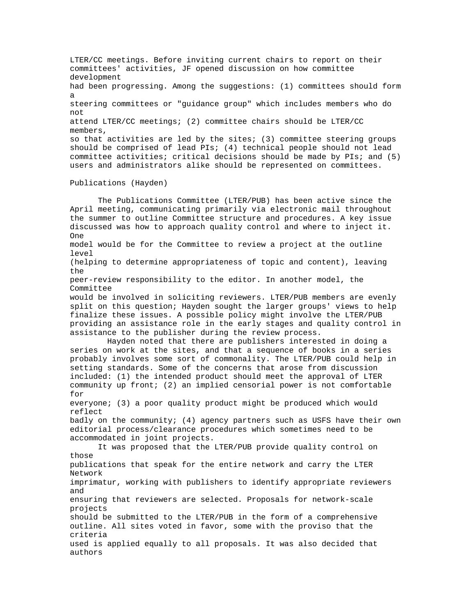LTER/CC meetings. Before inviting current chairs to report on their committees' activities, JF opened discussion on how committee development had been progressing. Among the suggestions: (1) committees should form a steering committees or "guidance group" which includes members who do not attend LTER/CC meetings; (2) committee chairs should be LTER/CC members, so that activities are led by the sites; (3) committee steering groups should be comprised of lead PIs; (4) technical people should not lead committee activities; critical decisions should be made by PIs; and (5) users and administrators alike should be represented on committees. Publications (Hayden) The Publications Committee (LTER/PUB) has been active since the April meeting, communicating primarily via electronic mail throughout the summer to outline Committee structure and procedures. A key issue discussed was how to approach quality control and where to inject it. One model would be for the Committee to review a project at the outline level (helping to determine appropriateness of topic and content), leaving the peer-review responsibility to the editor. In another model, the Committee would be involved in soliciting reviewers. LTER/PUB members are evenly split on this question; Hayden sought the larger groups' views to help finalize these issues. A possible policy might involve the LTER/PUB providing an assistance role in the early stages and quality control in assistance to the publisher during the review process. Hayden noted that there are publishers interested in doing a series on work at the sites, and that a sequence of books in a series probably involves some sort of commonality. The LTER/PUB could help in setting standards. Some of the concerns that arose from discussion included: (1) the intended product should meet the approval of LTER community up front; (2) an implied censorial power is not comfortable for everyone; (3) a poor quality product might be produced which would reflect badly on the community; (4) agency partners such as USFS have their own editorial process/clearance procedures which sometimes need to be accommodated in joint projects. It was proposed that the LTER/PUB provide quality control on those publications that speak for the entire network and carry the LTER Network imprimatur, working with publishers to identify appropriate reviewers and ensuring that reviewers are selected. Proposals for network-scale projects should be submitted to the LTER/PUB in the form of a comprehensive outline. All sites voted in favor, some with the proviso that the criteria used is applied equally to all proposals. It was also decided that authors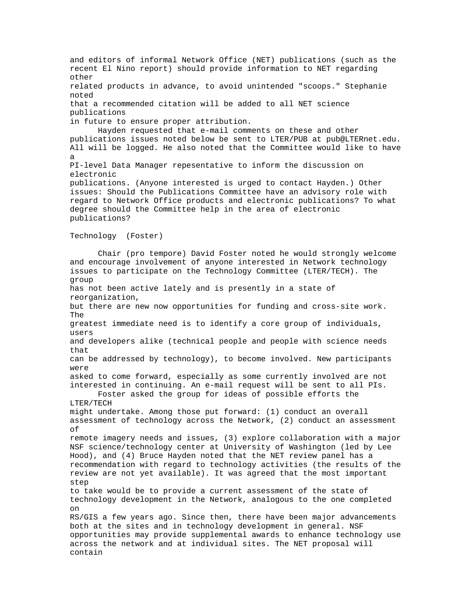and editors of informal Network Office (NET) publications (such as the recent El Nino report) should provide information to NET regarding other related products in advance, to avoid unintended "scoops." Stephanie noted that a recommended citation will be added to all NET science publications in future to ensure proper attribution. Hayden requested that e-mail comments on these and other publications issues noted below be sent to LTER/PUB at pub@LTERnet.edu. All will be logged. He also noted that the Committee would like to have a PI-level Data Manager repesentative to inform the discussion on electronic publications. (Anyone interested is urged to contact Hayden.) Other issues: Should the Publications Committee have an advisory role with regard to Network Office products and electronic publications? To what degree should the Committee help in the area of electronic publications? Technology (Foster) Chair (pro tempore) David Foster noted he would strongly welcome and encourage involvement of anyone interested in Network technology issues to participate on the Technology Committee (LTER/TECH). The group has not been active lately and is presently in a state of reorganization, but there are new now opportunities for funding and cross-site work. The greatest immediate need is to identify a core group of individuals, users and developers alike (technical people and people with science needs that can be addressed by technology), to become involved. New participants were asked to come forward, especially as some currently involved are not interested in continuing. An e-mail request will be sent to all PIs. Foster asked the group for ideas of possible efforts the LTER/TECH might undertake. Among those put forward: (1) conduct an overall assessment of technology across the Network, (2) conduct an assessment of remote imagery needs and issues, (3) explore collaboration with a major NSF science/technology center at University of Washington (led by Lee Hood), and (4) Bruce Hayden noted that the NET review panel has a recommendation with regard to technology activities (the results of the review are not yet available). It was agreed that the most important step to take would be to provide a current assessment of the state of technology development in the Network, analogous to the one completed on RS/GIS a few years ago. Since then, there have been major advancements both at the sites and in technology development in general. NSF opportunities may provide supplemental awards to enhance technology use across the network and at individual sites. The NET proposal will contain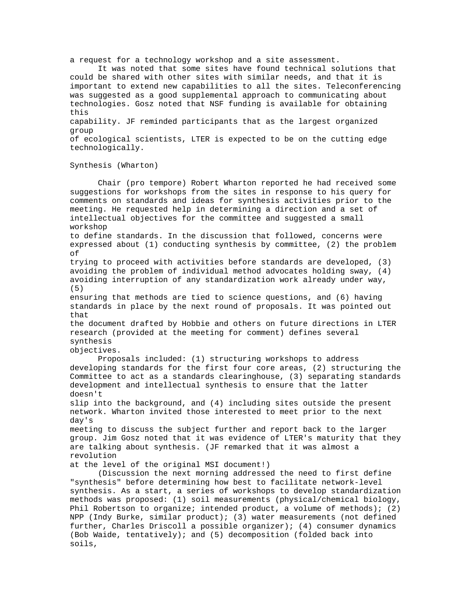a request for a technology workshop and a site assessment.

It was noted that some sites have found technical solutions that could be shared with other sites with similar needs, and that it is important to extend new capabilities to all the sites. Teleconferencing was suggested as a good supplemental approach to communicating about technologies. Gosz noted that NSF funding is available for obtaining this

capability. JF reminded participants that as the largest organized group

of ecological scientists, LTER is expected to be on the cutting edge technologically.

Chair (pro tempore) Robert Wharton reported he had received some

### Synthesis (Wharton)

suggestions for workshops from the sites in response to his query for comments on standards and ideas for synthesis activities prior to the meeting. He requested help in determining a direction and a set of intellectual objectives for the committee and suggested a small workshop to define standards. In the discussion that followed, concerns were expressed about (1) conducting synthesis by committee, (2) the problem of trying to proceed with activities before standards are developed, (3) avoiding the problem of individual method advocates holding sway, (4) avoiding interruption of any standardization work already under way, (5) ensuring that methods are tied to science questions, and (6) having standards in place by the next round of proposals. It was pointed out that the document drafted by Hobbie and others on future directions in LTER research (provided at the meeting for comment) defines several synthesis objectives. Proposals included: (1) structuring workshops to address developing standards for the first four core areas, (2) structuring the Committee to act as a standards clearinghouse, (3) separating standards development and intellectual synthesis to ensure that the latter doesn't slip into the background, and (4) including sites outside the present network. Wharton invited those interested to meet prior to the next day's meeting to discuss the subject further and report back to the larger group. Jim Gosz noted that it was evidence of LTER's maturity that they are talking about synthesis. (JF remarked that it was almost a revolution at the level of the original MSI document!) (Discussion the next morning addressed the need to first define "synthesis" before determining how best to facilitate network-level synthesis. As a start, a series of workshops to develop standardization methods was proposed: (1) soil measurements (physical/chemical biology, Phil Robertson to organize; intended product, a volume of methods); (2) NPP (Indy Burke, similar product); (3) water measurements (not defined further, Charles Driscoll a possible organizer); (4) consumer dynamics (Bob Waide, tentatively); and (5) decomposition (folded back into soils,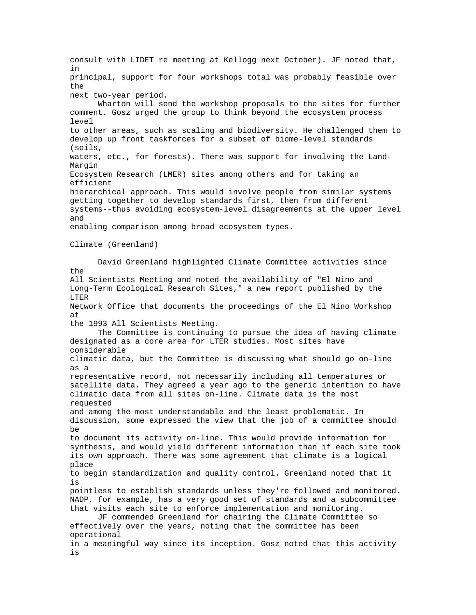consult with LIDET re meeting at Kellogg next October). JF noted that, in principal, support for four workshops total was probably feasible over the next two-year period. Wharton will send the workshop proposals to the sites for further comment. Gosz urged the group to think beyond the ecosystem process level to other areas, such as scaling and biodiversity. He challenged them to develop up front taskforces for a subset of biome-level standards (soils, waters, etc., for forests). There was support for involving the Land-Margin Ecosystem Research (LMER) sites among others and for taking an efficient hierarchical approach. This would involve people from similar systems getting together to develop standards first, then from different systems--thus avoiding ecosystem-level disagreements at the upper level and enabling comparison among broad ecosystem types. Climate (Greenland) David Greenland highlighted Climate Committee activities since the All Scientists Meeting and noted the availability of "El Nino and Long-Term Ecological Research Sites," a new report published by the LTER Network Office that documents the proceedings of the El Nino Workshop at the 1993 All Scientists Meeting. The Committee is continuing to pursue the idea of having climate designated as a core area for LTER studies. Most sites have considerable climatic data, but the Committee is discussing what should go on-line as a representative record, not necessarily including all temperatures or satellite data. They agreed a year ago to the generic intention to have climatic data from all sites on-line. Climate data is the most requested and among the most understandable and the least problematic. In discussion, some expressed the view that the job of a committee should be to document its activity on-line. This would provide information for synthesis, and would yield different information than if each site took its own approach. There was some agreement that climate is a logical place to begin standardization and quality control. Greenland noted that it is pointless to establish standards unless they're followed and monitored. NADP, for example, has a very good set of standards and a subcommittee that visits each site to enforce implementation and monitoring. JF commended Greenland for chairing the Climate Committee so effectively over the years, noting that the committee has been operational in a meaningful way since its inception. Gosz noted that this activity is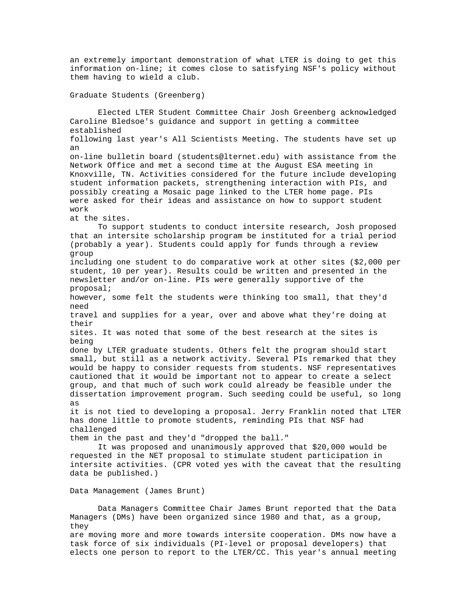an extremely important demonstration of what LTER is doing to get this information on-line; it comes close to satisfying NSF's policy without them having to wield a club.

#### Graduate Students (Greenberg)

Elected LTER Student Committee Chair Josh Greenberg acknowledged Caroline Bledsoe's guidance and support in getting a committee established following last year's All Scientists Meeting. The students have set up an on-line bulletin board (students@lternet.edu) with assistance from the Network Office and met a second time at the August ESA meeting in Knoxville, TN. Activities considered for the future include developing student information packets, strengthening interaction with PIs, and possibly creating a Mosaic page linked to the LTER home page. PIs were asked for their ideas and assistance on how to support student work at the sites. To support students to conduct intersite research, Josh proposed that an intersite scholarship program be instituted for a trial period (probably a year). Students could apply for funds through a review group including one student to do comparative work at other sites (\$2,000 per student, 10 per year). Results could be written and presented in the newsletter and/or on-line. PIs were generally supportive of the proposal; however, some felt the students were thinking too small, that they'd need travel and supplies for a year, over and above what they're doing at their sites. It was noted that some of the best research at the sites is being done by LTER graduate students. Others felt the program should start small, but still as a network activity. Several PIs remarked that they would be happy to consider requests from students. NSF representatives cautioned that it would be important not to appear to create a select group, and that much of such work could already be feasible under the dissertation improvement program. Such seeding could be useful, so long as it is not tied to developing a proposal. Jerry Franklin noted that LTER has done little to promote students, reminding PIs that NSF had challenged them in the past and they'd "dropped the ball." It was proposed and unanimously approved that \$20,000 would be requested in the NET proposal to stimulate student participation in intersite activities. (CPR voted yes with the caveat that the resulting data be published.) Data Management (James Brunt) Data Managers Committee Chair James Brunt reported that the Data Managers (DMs) have been organized since 1980 and that, as a group, they

are moving more and more towards intersite cooperation. DMs now have a task force of six individuals (PI-level or proposal developers) that elects one person to report to the LTER/CC. This year's annual meeting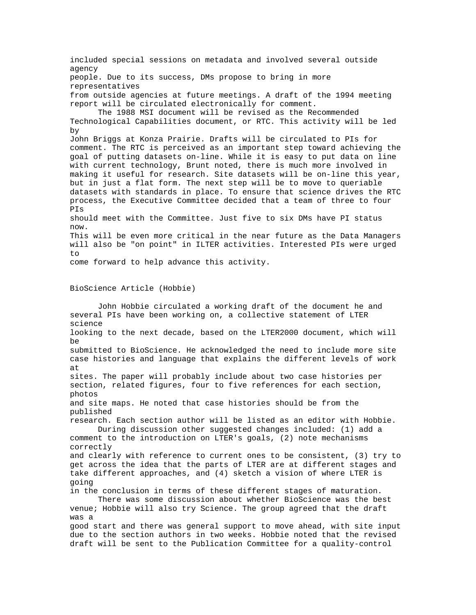included special sessions on metadata and involved several outside agency people. Due to its success, DMs propose to bring in more representatives from outside agencies at future meetings. A draft of the 1994 meeting report will be circulated electronically for comment. The 1988 MSI document will be revised as the Recommended Technological Capabilities document, or RTC. This activity will be led by John Briggs at Konza Prairie. Drafts will be circulated to PIs for comment. The RTC is perceived as an important step toward achieving the goal of putting datasets on-line. While it is easy to put data on line with current technology, Brunt noted, there is much more involved in making it useful for research. Site datasets will be on-line this year, but in just a flat form. The next step will be to move to queriable datasets with standards in place. To ensure that science drives the RTC process, the Executive Committee decided that a team of three to four PIs should meet with the Committee. Just five to six DMs have PI status now. This will be even more critical in the near future as the Data Managers will also be "on point" in ILTER activities. Interested PIs were urged to come forward to help advance this activity. BioScience Article (Hobbie) John Hobbie circulated a working draft of the document he and several PIs have been working on, a collective statement of LTER science looking to the next decade, based on the LTER2000 document, which will be submitted to BioScience. He acknowledged the need to include more site case histories and language that explains the different levels of work at sites. The paper will probably include about two case histories per section, related figures, four to five references for each section, photos and site maps. He noted that case histories should be from the published research. Each section author will be listed as an editor with Hobbie. During discussion other suggested changes included: (1) add a comment to the introduction on LTER's goals, (2) note mechanisms correctly and clearly with reference to current ones to be consistent, (3) try to get across the idea that the parts of LTER are at different stages and take different approaches, and (4) sketch a vision of where LTER is going in the conclusion in terms of these different stages of maturation. There was some discussion about whether BioScience was the best venue; Hobbie will also try Science. The group agreed that the draft was a good start and there was general support to move ahead, with site input due to the section authors in two weeks. Hobbie noted that the revised

draft will be sent to the Publication Committee for a quality-control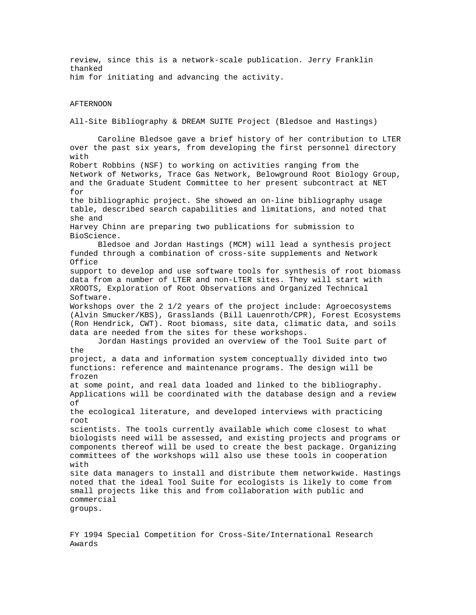review, since this is a network-scale publication. Jerry Franklin thanked him for initiating and advancing the activity.

#### AFTERNOON

All-Site Bibliography & DREAM SUITE Project (Bledsoe and Hastings)

Caroline Bledsoe gave a brief history of her contribution to LTER over the past six years, from developing the first personnel directory with Robert Robbins (NSF) to working on activities ranging from the Network of Networks, Trace Gas Network, Belowground Root Biology Group, and the Graduate Student Committee to her present subcontract at NET for the bibliographic project. She showed an on-line bibliography usage table, described search capabilities and limitations, and noted that she and Harvey Chinn are preparing two publications for submission to BioScience. Bledsoe and Jordan Hastings (MCM) will lead a synthesis project funded through a combination of cross-site supplements and Network Office support to develop and use software tools for synthesis of root biomass data from a number of LTER and non-LTER sites. They will start with XROOTS, Exploration of Root Observations and Organized Technical Software. Workshops over the 2 1/2 years of the project include: Agroecosystems (Alvin Smucker/KBS), Grasslands (Bill Lauenroth/CPR), Forest Ecosystems (Ron Hendrick, CWT). Root biomass, site data, climatic data, and soils data are needed from the sites for these workshops. Jordan Hastings provided an overview of the Tool Suite part of the project, a data and information system conceptually divided into two functions: reference and maintenance programs. The design will be frozen at some point, and real data loaded and linked to the bibliography. Applications will be coordinated with the database design and a review of the ecological literature, and developed interviews with practicing root scientists. The tools currently available which come closest to what biologists need will be assessed, and existing projects and programs or components thereof will be used to create the best package. Organizing committees of the workshops will also use these tools in cooperation with site data managers to install and distribute them networkwide. Hastings noted that the ideal Tool Suite for ecologists is likely to come from small projects like this and from collaboration with public and commercial groups.

FY 1994 Special Competition for Cross-Site/International Research Awards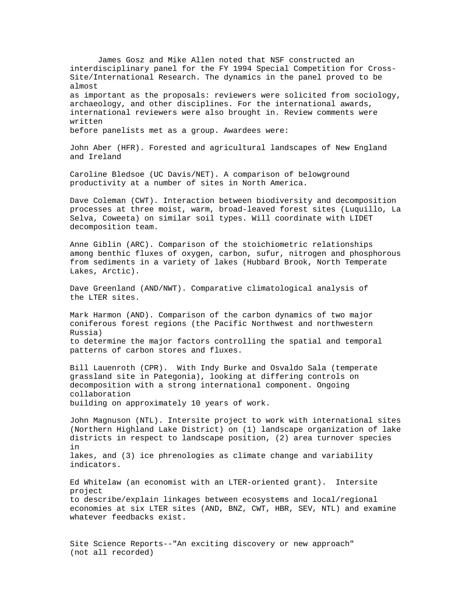James Gosz and Mike Allen noted that NSF constructed an interdisciplinary panel for the FY 1994 Special Competition for Cross-Site/International Research. The dynamics in the panel proved to be almost as important as the proposals: reviewers were solicited from sociology, archaeology, and other disciplines. For the international awards, international reviewers were also brought in. Review comments were written before panelists met as a group. Awardees were: John Aber (HFR). Forested and agricultural landscapes of New England and Ireland Caroline Bledsoe (UC Davis/NET). A comparison of belowground productivity at a number of sites in North America. Dave Coleman (CWT). Interaction between biodiversity and decomposition processes at three moist, warm, broad-leaved forest sites (Luquillo, La Selva, Coweeta) on similar soil types. Will coordinate with LIDET decomposition team. Anne Giblin (ARC). Comparison of the stoichiometric relationships among benthic fluxes of oxygen, carbon, sufur, nitrogen and phosphorous from sediments in a variety of lakes (Hubbard Brook, North Temperate Lakes, Arctic). Dave Greenland (AND/NWT). Comparative climatological analysis of the LTER sites. Mark Harmon (AND). Comparison of the carbon dynamics of two major coniferous forest regions (the Pacific Northwest and northwestern Russia) to determine the major factors controlling the spatial and temporal patterns of carbon stores and fluxes. Bill Lauenroth (CPR). With Indy Burke and Osvaldo Sala (temperate grassland site in Pategonia), looking at differing controls on decomposition with a strong international component. Ongoing collaboration building on approximately 10 years of work. John Magnuson (NTL). Intersite project to work with international sites (Northern Highland Lake District) on (1) landscape organization of lake districts in respect to landscape position, (2) area turnover species in lakes, and (3) ice phrenologies as climate change and variability indicators. Ed Whitelaw (an economist with an LTER-oriented grant). Intersite project to describe/explain linkages between ecosystems and local/regional economies at six LTER sites (AND, BNZ, CWT, HBR, SEV, NTL) and examine whatever feedbacks exist.

Site Science Reports--"An exciting discovery or new approach" (not all recorded)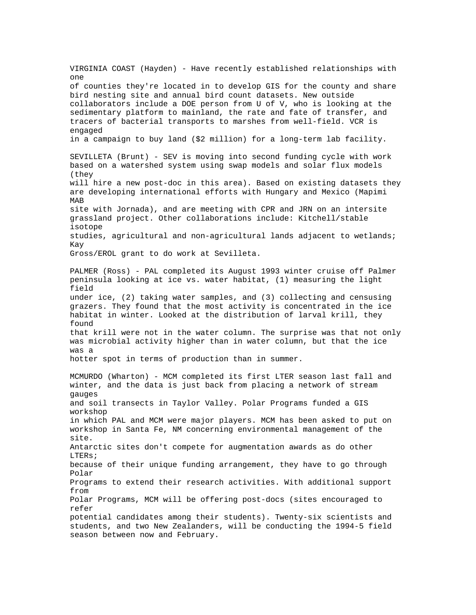VIRGINIA COAST (Hayden) - Have recently established relationships with one of counties they're located in to develop GIS for the county and share bird nesting site and annual bird count datasets. New outside collaborators include a DOE person from U of V, who is looking at the sedimentary platform to mainland, the rate and fate of transfer, and tracers of bacterial transports to marshes from well-field. VCR is engaged in a campaign to buy land (\$2 million) for a long-term lab facility. SEVILLETA (Brunt) - SEV is moving into second funding cycle with work based on a watershed system using swap models and solar flux models (they will hire a new post-doc in this area). Based on existing datasets they are developing international efforts with Hungary and Mexico (Mapimi MAB site with Jornada), and are meeting with CPR and JRN on an intersite grassland project. Other collaborations include: Kitchell/stable isotope studies, agricultural and non-agricultural lands adjacent to wetlands; Kay Gross/EROL grant to do work at Sevilleta. PALMER (Ross) - PAL completed its August 1993 winter cruise off Palmer peninsula looking at ice vs. water habitat, (1) measuring the light field under ice, (2) taking water samples, and (3) collecting and censusing grazers. They found that the most activity is concentrated in the ice habitat in winter. Looked at the distribution of larval krill, they found that krill were not in the water column. The surprise was that not only was microbial activity higher than in water column, but that the ice was a hotter spot in terms of production than in summer. MCMURDO (Wharton) - MCM completed its first LTER season last fall and winter, and the data is just back from placing a network of stream gauges and soil transects in Taylor Valley. Polar Programs funded a GIS workshop in which PAL and MCM were major players. MCM has been asked to put on workshop in Santa Fe, NM concerning environmental management of the site. Antarctic sites don't compete for augmentation awards as do other LTERs; because of their unique funding arrangement, they have to go through Polar Programs to extend their research activities. With additional support from Polar Programs, MCM will be offering post-docs (sites encouraged to refer potential candidates among their students). Twenty-six scientists and students, and two New Zealanders, will be conducting the 1994-5 field season between now and February.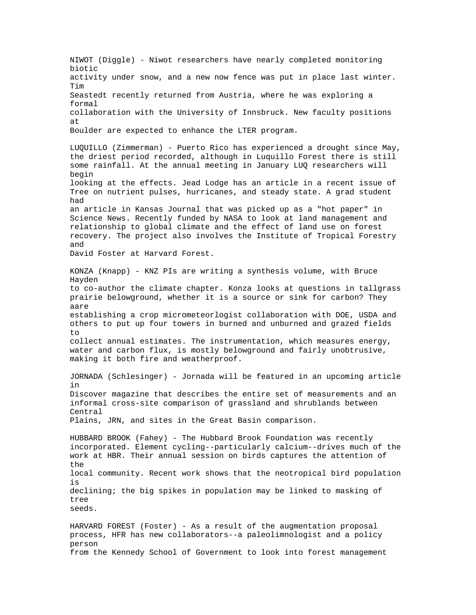NIWOT (Diggle) - Niwot researchers have nearly completed monitoring biotic activity under snow, and a new now fence was put in place last winter. Tim Seastedt recently returned from Austria, where he was exploring a formal collaboration with the University of Innsbruck. New faculty positions at Boulder are expected to enhance the LTER program. LUQUILLO (Zimmerman) - Puerto Rico has experienced a drought since May, the driest period recorded, although in Luquillo Forest there is still some rainfall. At the annual meeting in January LUQ researchers will begin looking at the effects. Jead Lodge has an article in a recent issue of Tree on nutrient pulses, hurricanes, and steady state. A grad student had an article in Kansas Journal that was picked up as a "hot paper" in Science News. Recently funded by NASA to look at land management and relationship to global climate and the effect of land use on forest recovery. The project also involves the Institute of Tropical Forestry and David Foster at Harvard Forest. KONZA (Knapp) - KNZ PIs are writing a synthesis volume, with Bruce Hayden to co-author the climate chapter. Konza looks at questions in tallgrass prairie belowground, whether it is a source or sink for carbon? They aare establishing a crop micrometeorlogist collaboration with DOE, USDA and others to put up four towers in burned and unburned and grazed fields  $t \circ$ collect annual estimates. The instrumentation, which measures energy, water and carbon flux, is mostly belowground and fairly unobtrusive, making it both fire and weatherproof. JORNADA (Schlesinger) - Jornada will be featured in an upcoming article in Discover magazine that describes the entire set of measurements and an informal cross-site comparison of grassland and shrublands between Central Plains, JRN, and sites in the Great Basin comparison. HUBBARD BROOK (Fahey) - The Hubbard Brook Foundation was recently incorporated. Element cycling--particularly calcium--drives much of the work at HBR. Their annual session on birds captures the attention of the local community. Recent work shows that the neotropical bird population is declining; the big spikes in population may be linked to masking of tree seeds. HARVARD FOREST (Foster) - As a result of the augmentation proposal process, HFR has new collaborators--a paleolimnologist and a policy person

from the Kennedy School of Government to look into forest management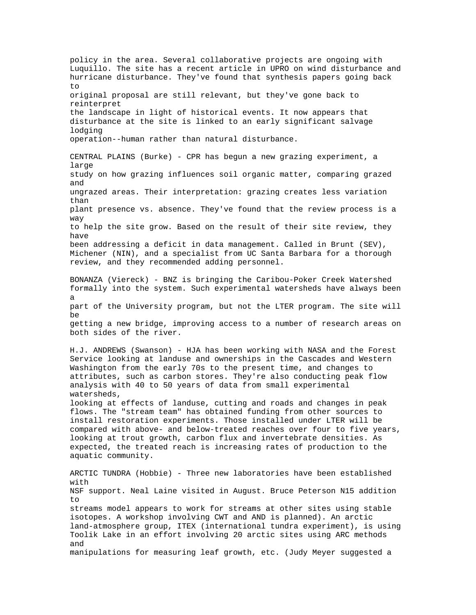policy in the area. Several collaborative projects are ongoing with Luquillo. The site has a recent article in UPRO on wind disturbance and hurricane disturbance. They've found that synthesis papers going back to original proposal are still relevant, but they've gone back to reinterpret the landscape in light of historical events. It now appears that disturbance at the site is linked to an early significant salvage lodging operation--human rather than natural disturbance. CENTRAL PLAINS (Burke) - CPR has begun a new grazing experiment, a large study on how grazing influences soil organic matter, comparing grazed and ungrazed areas. Their interpretation: grazing creates less variation than plant presence vs. absence. They've found that the review process is a way to help the site grow. Based on the result of their site review, they have been addressing a deficit in data management. Called in Brunt (SEV), Michener (NIN), and a specialist from UC Santa Barbara for a thorough review, and they recommended adding personnel. BONANZA (Viereck) - BNZ is bringing the Caribou-Poker Creek Watershed formally into the system. Such experimental watersheds have always been a part of the University program, but not the LTER program. The site will be getting a new bridge, improving access to a number of research areas on both sides of the river. H.J. ANDREWS (Swanson) - HJA has been working with NASA and the Forest Service looking at landuse and ownerships in the Cascades and Western Washington from the early 70s to the present time, and changes to attributes, such as carbon stores. They're also conducting peak flow analysis with 40 to 50 years of data from small experimental watersheds, looking at effects of landuse, cutting and roads and changes in peak flows. The "stream team" has obtained funding from other sources to install restoration experiments. Those installed under LTER will be compared with above- and below-treated reaches over four to five years, looking at trout growth, carbon flux and invertebrate densities. As expected, the treated reach is increasing rates of production to the aquatic community. ARCTIC TUNDRA (Hobbie) - Three new laboratories have been established with NSF support. Neal Laine visited in August. Bruce Peterson N15 addition to streams model appears to work for streams at other sites using stable isotopes. A workshop involving CWT and AND is planned). An arctic land-atmosphere group, ITEX (international tundra experiment), is using Toolik Lake in an effort involving 20 arctic sites using ARC methods and manipulations for measuring leaf growth, etc. (Judy Meyer suggested a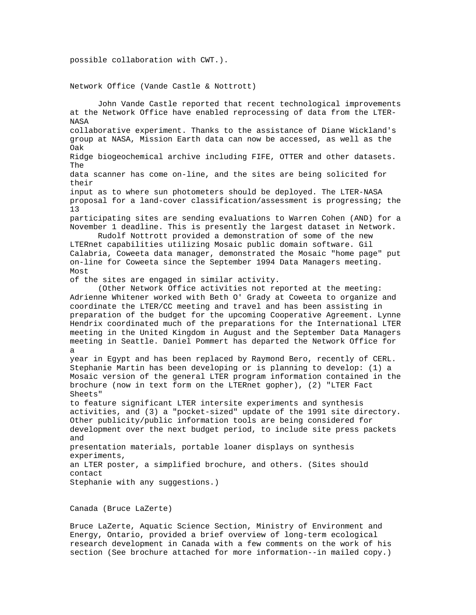possible collaboration with CWT.).

Network Office (Vande Castle & Nottrott)

John Vande Castle reported that recent technological improvements at the Network Office have enabled reprocessing of data from the LTER-**NASA** collaborative experiment. Thanks to the assistance of Diane Wickland's group at NASA, Mission Earth data can now be accessed, as well as the Oak Ridge biogeochemical archive including FIFE, OTTER and other datasets. The data scanner has come on-line, and the sites are being solicited for their input as to where sun photometers should be deployed. The LTER-NASA proposal for a land-cover classification/assessment is progressing; the 13 participating sites are sending evaluations to Warren Cohen (AND) for a November 1 deadline. This is presently the largest dataset in Network. Rudolf Nottrott provided a demonstration of some of the new LTERnet capabilities utilizing Mosaic public domain software. Gil Calabria, Coweeta data manager, demonstrated the Mosaic "home page" put on-line for Coweeta since the September 1994 Data Managers meeting. Most of the sites are engaged in similar activity. (Other Network Office activities not reported at the meeting: Adrienne Whitener worked with Beth O' Grady at Coweeta to organize and coordinate the LTER/CC meeting and travel and has been assisting in preparation of the budget for the upcoming Cooperative Agreement. Lynne Hendrix coordinated much of the preparations for the International LTER meeting in the United Kingdom in August and the September Data Managers meeting in Seattle. Daniel Pommert has departed the Network Office for a year in Egypt and has been replaced by Raymond Bero, recently of CERL. Stephanie Martin has been developing or is planning to develop: (1) a Mosaic version of the general LTER program information contained in the brochure (now in text form on the LTERnet gopher), (2) "LTER Fact Sheets" to feature significant LTER intersite experiments and synthesis activities, and (3) a "pocket-sized" update of the 1991 site directory. Other publicity/public information tools are being considered for development over the next budget period, to include site press packets and presentation materials, portable loaner displays on synthesis experiments, an LTER poster, a simplified brochure, and others. (Sites should contact Stephanie with any suggestions.)

Canada (Bruce LaZerte)

Bruce LaZerte, Aquatic Science Section, Ministry of Environment and Energy, Ontario, provided a brief overview of long-term ecological research development in Canada with a few comments on the work of his section (See brochure attached for more information--in mailed copy.)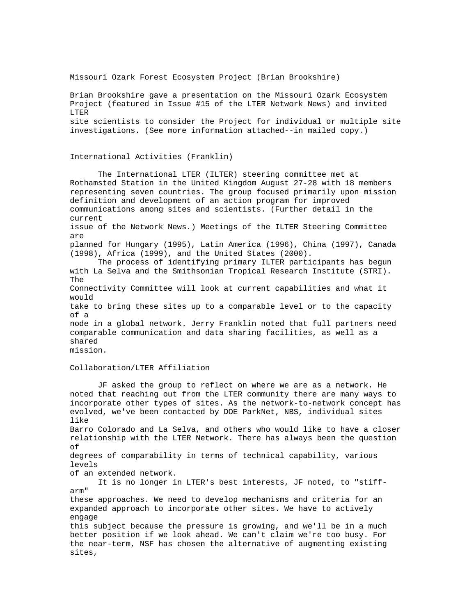Missouri Ozark Forest Ecosystem Project (Brian Brookshire)

Brian Brookshire gave a presentation on the Missouri Ozark Ecosystem Project (featured in Issue #15 of the LTER Network News) and invited LTER site scientists to consider the Project for individual or multiple site investigations. (See more information attached--in mailed copy.)

## International Activities (Franklin)

The International LTER (ILTER) steering committee met at Rothamsted Station in the United Kingdom August 27-28 with 18 members representing seven countries. The group focused primarily upon mission definition and development of an action program for improved communications among sites and scientists. (Further detail in the current issue of the Network News.) Meetings of the ILTER Steering Committee are planned for Hungary (1995), Latin America (1996), China (1997), Canada (1998), Africa (1999), and the United States (2000). The process of identifying primary ILTER participants has begun with La Selva and the Smithsonian Tropical Research Institute (STRI). The Connectivity Committee will look at current capabilities and what it would take to bring these sites up to a comparable level or to the capacity of a node in a global network. Jerry Franklin noted that full partners need comparable communication and data sharing facilities, as well as a shared mission.

# Collaboration/LTER Affiliation

JF asked the group to reflect on where we are as a network. He noted that reaching out from the LTER community there are many ways to incorporate other types of sites. As the network-to-network concept has evolved, we've been contacted by DOE ParkNet, NBS, individual sites like Barro Colorado and La Selva, and others who would like to have a closer relationship with the LTER Network. There has always been the question of degrees of comparability in terms of technical capability, various levels of an extended network. It is no longer in LTER's best interests, JF noted, to "stiffarm" these approaches. We need to develop mechanisms and criteria for an expanded approach to incorporate other sites. We have to actively engage this subject because the pressure is growing, and we'll be in a much better position if we look ahead. We can't claim we're too busy. For the near-term, NSF has chosen the alternative of augmenting existing sites,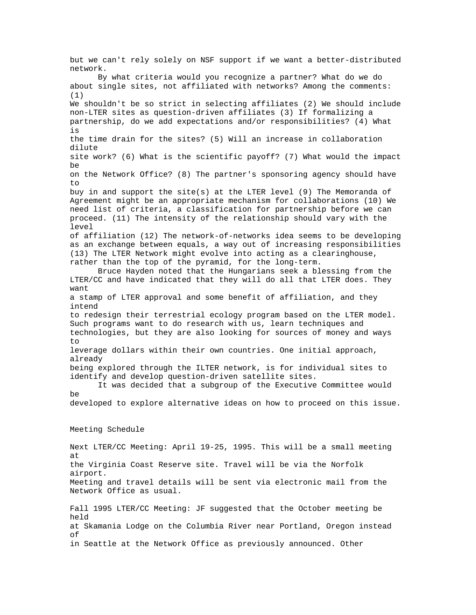but we can't rely solely on NSF support if we want a better-distributed network. By what criteria would you recognize a partner? What do we do about single sites, not affiliated with networks? Among the comments: (1) We shouldn't be so strict in selecting affiliates (2) We should include non-LTER sites as question-driven affiliates (3) If formalizing a partnership, do we add expectations and/or responsibilities? (4) What is the time drain for the sites? (5) Will an increase in collaboration dilute site work? (6) What is the scientific payoff? (7) What would the impact be on the Network Office? (8) The partner's sponsoring agency should have to buy in and support the site(s) at the LTER level (9) The Memoranda of Agreement might be an appropriate mechanism for collaborations (10) We need list of criteria, a classification for partnership before we can proceed. (11) The intensity of the relationship should vary with the level of affiliation (12) The network-of-networks idea seems to be developing as an exchange between equals, a way out of increasing responsibilities (13) The LTER Network might evolve into acting as a clearinghouse, rather than the top of the pyramid, for the long-term. Bruce Hayden noted that the Hungarians seek a blessing from the LTER/CC and have indicated that they will do all that LTER does. They want a stamp of LTER approval and some benefit of affiliation, and they intend to redesign their terrestrial ecology program based on the LTER model. Such programs want to do research with us, learn techniques and technologies, but they are also looking for sources of money and ways to leverage dollars within their own countries. One initial approach, already being explored through the ILTER network, is for individual sites to identify and develop question-driven satellite sites. It was decided that a subgroup of the Executive Committee would be developed to explore alternative ideas on how to proceed on this issue. Meeting Schedule Next LTER/CC Meeting: April 19-25, 1995. This will be a small meeting at the Virginia Coast Reserve site. Travel will be via the Norfolk airport. Meeting and travel details will be sent via electronic mail from the Network Office as usual. Fall 1995 LTER/CC Meeting: JF suggested that the October meeting be held at Skamania Lodge on the Columbia River near Portland, Oregon instead of in Seattle at the Network Office as previously announced. Other